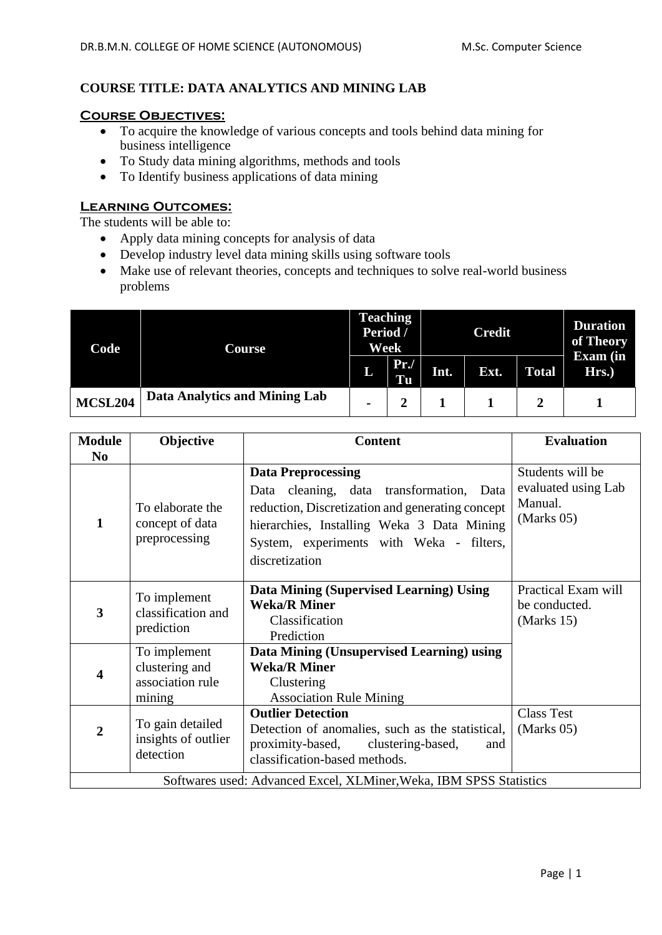# **COURSE TITLE: DATA ANALYTICS AND MINING LAB**

#### **Course Objectives:**

- To acquire the knowledge of various concepts and tools behind data mining for business intelligence
- To Study data mining algorithms, methods and tools
- To Identify business applications of data mining

### **Learning Outcomes:**

The students will be able to:

- Apply data mining concepts for analysis of data
- Develop industry level data mining skills using software tools
- Make use of relevant theories, concepts and techniques to solve real-world business problems

| Code           | Course                        | <b>Teaching</b><br>Period /<br>Week |           | <b>Credit</b> |      |              | <b>Duration</b><br>of Theory |
|----------------|-------------------------------|-------------------------------------|-----------|---------------|------|--------------|------------------------------|
|                |                               | L                                   | Pr.<br>Tu | Int.          | Ext. | <b>Total</b> | <b>Exam</b> (in<br>Hrs.)     |
| <b>MCSL204</b> | Data Analytics and Mining Lab | $\blacksquare$                      |           |               |      |              |                              |

| <b>Module</b>                                                      | Objective                                                    | <b>Content</b>                                                                                                                                                                                                                        | <b>Evaluation</b>                                                |  |  |
|--------------------------------------------------------------------|--------------------------------------------------------------|---------------------------------------------------------------------------------------------------------------------------------------------------------------------------------------------------------------------------------------|------------------------------------------------------------------|--|--|
| N <sub>0</sub>                                                     |                                                              |                                                                                                                                                                                                                                       |                                                                  |  |  |
| 1                                                                  | To elaborate the<br>concept of data<br>preprocessing         | <b>Data Preprocessing</b><br>Data cleaning, data transformation, Data<br>reduction, Discretization and generating concept<br>hierarchies, Installing Weka 3 Data Mining<br>System, experiments with Weka - filters,<br>discretization | Students will be<br>evaluated using Lab<br>Manual.<br>(Marks 05) |  |  |
| 3                                                                  | To implement<br>classification and<br>prediction             | Data Mining (Supervised Learning) Using<br><b>Weka/R Miner</b><br>Classification<br>Prediction                                                                                                                                        | Practical Exam will<br>be conducted.<br>(Marks 15)               |  |  |
| 4                                                                  | To implement<br>clustering and<br>association rule<br>mining | Data Mining (Unsupervised Learning) using<br><b>Weka/R Miner</b><br>Clustering<br><b>Association Rule Mining</b>                                                                                                                      |                                                                  |  |  |
| $\overline{2}$                                                     | To gain detailed<br>insights of outlier<br>detection         | <b>Outlier Detection</b><br>Detection of anomalies, such as the statistical,<br>proximity-based, clustering-based,<br>and<br>classification-based methods.                                                                            | <b>Class Test</b><br>(Marks 05)                                  |  |  |
| Softwares used: Advanced Excel, XLMiner, Weka, IBM SPSS Statistics |                                                              |                                                                                                                                                                                                                                       |                                                                  |  |  |